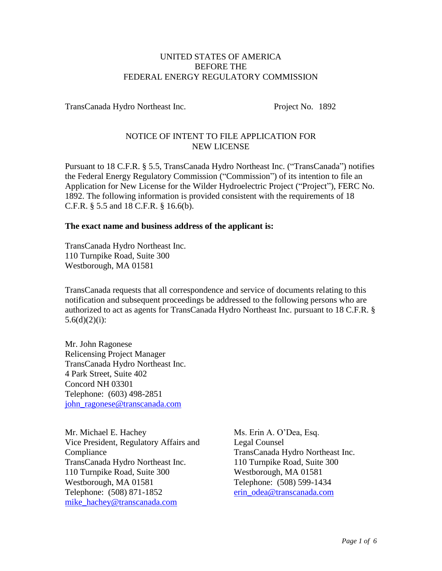### UNITED STATES OF AMERICA BEFORE THE FEDERAL ENERGY REGULATORY COMMISSION

TransCanada Hydro Northeast Inc. Project No. 1892

# NOTICE OF INTENT TO FILE APPLICATION FOR NEW LICENSE

Pursuant to 18 C.F.R. § 5.5, TransCanada Hydro Northeast Inc. ("TransCanada") notifies the Federal Energy Regulatory Commission ("Commission") of its intention to file an Application for New License for the Wilder Hydroelectric Project ("Project"), FERC No. 1892. The following information is provided consistent with the requirements of 18 C.F.R. § 5.5 and 18 C.F.R. § 16.6(b).

## **The exact name and business address of the applicant is:**

TransCanada Hydro Northeast Inc. 110 Turnpike Road, Suite 300 Westborough, MA 01581

TransCanada requests that all correspondence and service of documents relating to this notification and subsequent proceedings be addressed to the following persons who are authorized to act as agents for TransCanada Hydro Northeast Inc. pursuant to 18 C.F.R. §  $5.6(d)(2)(i)$ :

Mr. John Ragonese Relicensing Project Manager TransCanada Hydro Northeast Inc. 4 Park Street, Suite 402 Concord NH 03301 Telephone: (603) 498-2851 [john\\_ragonese@transcanada.com](mailto:john_ragonese@transcanada.com)

Mr. Michael E. Hachey Vice President, Regulatory Affairs and Compliance TransCanada Hydro Northeast Inc. 110 Turnpike Road, Suite 300 Westborough, MA 01581 Telephone: (508) 871-1852 [mike\\_hachey@transcanada.com](mailto:mike_hachey@transcanada.com)

Ms. Erin A. O'Dea, Esq. Legal Counsel TransCanada Hydro Northeast Inc. 110 Turnpike Road, Suite 300 Westborough, MA 01581 Telephone: (508) 599-1434 [erin\\_odea@transcanada.com](mailto:erin_odea@transcanada.com)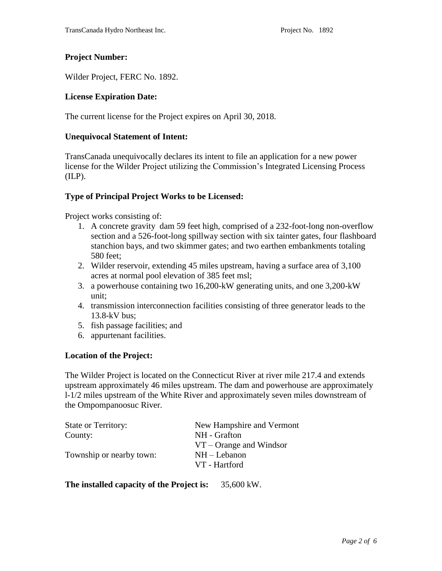### **Project Number:**

Wilder Project, FERC No. 1892.

#### **License Expiration Date:**

The current license for the Project expires on April 30, 2018.

#### **Unequivocal Statement of Intent:**

TransCanada unequivocally declares its intent to file an application for a new power license for the Wilder Project utilizing the Commission's Integrated Licensing Process  $(ILP)$ .

### **Type of Principal Project Works to be Licensed:**

Project works consisting of:

- 1. A concrete gravity dam 59 feet high, comprised of a 232-foot-long non-overflow section and a 526-foot-long spillway section with six tainter gates, four flashboard stanchion bays, and two skimmer gates; and two earthen embankments totaling 580 feet;
- 2. Wilder reservoir, extending 45 miles upstream, having a surface area of 3,100 acres at normal pool elevation of 385 feet msl;
- 3. a powerhouse containing two 16,200-kW generating units, and one 3,200-kW unit;
- 4. transmission interconnection facilities consisting of three generator leads to the 13.8-kV bus;
- 5. fish passage facilities; and
- 6. appurtenant facilities.

#### **Location of the Project:**

The Wilder Project is located on the Connecticut River at river mile 217.4 and extends upstream approximately 46 miles upstream. The dam and powerhouse are approximately l-1/2 miles upstream of the White River and approximately seven miles downstream of the Ompompanoosuc River.

| <b>State or Territory:</b> | New Hampshire and Vermont |  |
|----------------------------|---------------------------|--|
| County:                    | NH - Grafton              |  |
|                            | $VT$ – Orange and Windsor |  |
| Township or nearby town:   | $NH - Lebanon$            |  |
|                            | VT - Hartford             |  |

**The installed capacity of the Project is:** 35,600 kW.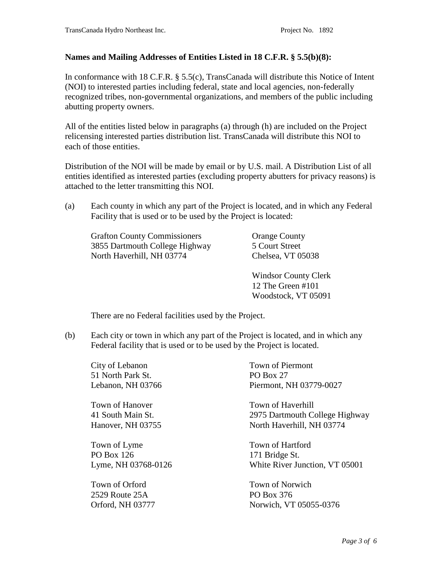## **Names and Mailing Addresses of Entities Listed in 18 C.F.R. § 5.5(b)(8):**

In conformance with 18 C.F.R. § 5.5(c), TransCanada will distribute this Notice of Intent (NOI) to interested parties including federal, state and local agencies, non-federally recognized tribes, non-governmental organizations, and members of the public including abutting property owners.

All of the entities listed below in paragraphs (a) through (h) are included on the Project relicensing interested parties distribution list. TransCanada will distribute this NOI to each of those entities.

Distribution of the NOI will be made by email or by U.S. mail. A Distribution List of all entities identified as interested parties (excluding property abutters for privacy reasons) is attached to the letter transmitting this NOI.

(a) Each county in which any part of the Project is located, and in which any Federal Facility that is used or to be used by the Project is located:

Grafton County Commissioners 3855 Dartmouth College Highway North Haverhill, NH 03774

Orange County 5 Court Street Chelsea, VT 05038

Windsor County Clerk 12 The Green #101 Woodstock, VT 05091

There are no Federal facilities used by the Project.

(b) Each city or town in which any part of the Project is located, and in which any Federal facility that is used or to be used by the Project is located.

City of Lebanon 51 North Park St. Lebanon, NH 03766

Town of Hanover 41 South Main St. Hanover, NH 03755

Town of Lyme PO Box 126 Lyme, NH 03768-0126

Town of Orford 2529 Route 25A Orford, NH 03777

Town of Piermont PO Box 27 Piermont, NH 03779-0027

Town of Haverhill 2975 Dartmouth College Highway North Haverhill, NH 03774

Town of Hartford 171 Bridge St. White River Junction, VT 05001

Town of Norwich PO Box 376 Norwich, VT 05055-0376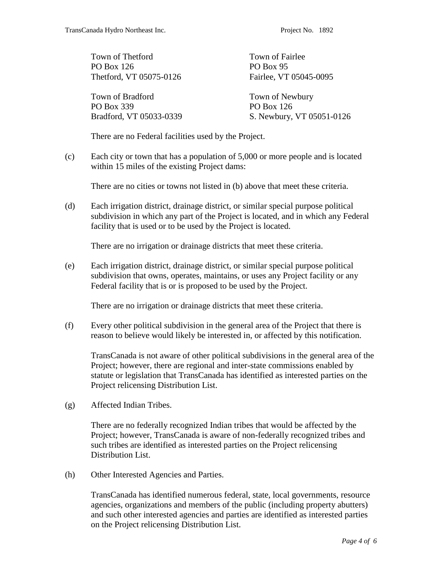| Town of Thetford        | Town of Fairlee           |
|-------------------------|---------------------------|
| PO Box 126              | PO Box 95                 |
| Thetford, VT 05075-0126 | Fairlee, VT 05045-0095    |
| Town of Bradford        | Town of Newbury           |
| PO Box 339              | <b>PO Box 126</b>         |
| Bradford, VT 05033-0339 | S. Newbury, VT 05051-0126 |

There are no Federal facilities used by the Project.

(c) Each city or town that has a population of 5,000 or more people and is located within 15 miles of the existing Project dams:

There are no cities or towns not listed in (b) above that meet these criteria.

(d) Each irrigation district, drainage district, or similar special purpose political subdivision in which any part of the Project is located, and in which any Federal facility that is used or to be used by the Project is located.

There are no irrigation or drainage districts that meet these criteria.

(e) Each irrigation district, drainage district, or similar special purpose political subdivision that owns, operates, maintains, or uses any Project facility or any Federal facility that is or is proposed to be used by the Project.

There are no irrigation or drainage districts that meet these criteria.

(f) Every other political subdivision in the general area of the Project that there is reason to believe would likely be interested in, or affected by this notification.

TransCanada is not aware of other political subdivisions in the general area of the Project; however, there are regional and inter-state commissions enabled by statute or legislation that TransCanada has identified as interested parties on the Project relicensing Distribution List.

(g) Affected Indian Tribes.

There are no federally recognized Indian tribes that would be affected by the Project; however, TransCanada is aware of non-federally recognized tribes and such tribes are identified as interested parties on the Project relicensing Distribution List.

(h) Other Interested Agencies and Parties.

TransCanada has identified numerous federal, state, local governments, resource agencies, organizations and members of the public (including property abutters) and such other interested agencies and parties are identified as interested parties on the Project relicensing Distribution List.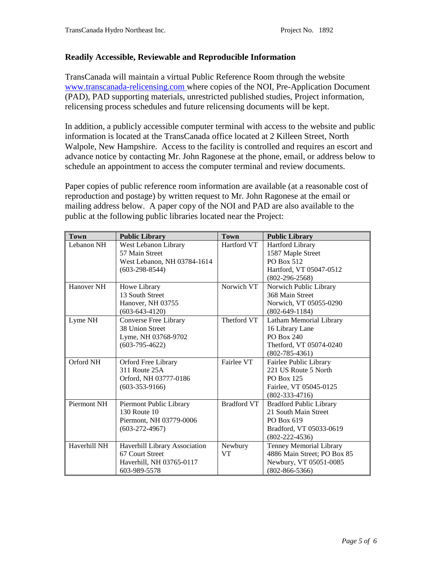## **Readily Accessible, Reviewable and Reproducible Information**

TransCanada will maintain a virtual Public Reference Room through the website [www.transcanada-relicensing.com](http://www.transcanada-relicensing.com/) where copies of the NOI, Pre-Application Document (PAD), PAD supporting materials, unrestricted published studies, Project information, relicensing process schedules and future relicensing documents will be kept.

In addition, a publicly accessible computer terminal with access to the website and public information is located at the TransCanada office located at 2 Killeen Street, North Walpole, New Hampshire. Access to the facility is controlled and requires an escort and advance notice by contacting Mr. John Ragonese at the phone, email, or address below to schedule an appointment to access the computer terminal and review documents.

Paper copies of public reference room information are available (at a reasonable cost of reproduction and postage) by written request to Mr. John Ragonese at the email or mailing address below. A paper copy of the NOI and PAD are also available to the public at the following public libraries located near the Project:

| <b>Town</b>  | <b>Public Library</b>         | <b>Town</b>        | <b>Public Library</b>          |
|--------------|-------------------------------|--------------------|--------------------------------|
| Lebanon NH   | West Lebanon Library          | Hartford VT        | <b>Hartford Library</b>        |
|              | 57 Main Street                |                    | 1587 Maple Street              |
|              | West Lebanon, NH 03784-1614   |                    | PO Box 512                     |
|              | $(603-298-8544)$              |                    | Hartford, VT 05047-0512        |
|              |                               |                    | $(802-296-2568)$               |
| Hanover NH   | Howe Library                  | Norwich VT         | Norwich Public Library         |
|              | 13 South Street               |                    | 368 Main Street                |
|              | Hanover, NH 03755             |                    | Norwich, VT 05055-0290         |
|              | $(603-643-4120)$              |                    | $(802 - 649 - 1184)$           |
| Lyme NH      | Converse Free Library         | Thetford VT        | Latham Memorial Library        |
|              | 38 Union Street               |                    | 16 Library Lane                |
|              | Lyme, NH 03768-9702           |                    | PO Box 240                     |
|              | $(603-795-4622)$              |                    | Thetford, VT 05074-0240        |
|              |                               |                    | $(802 - 785 - 4361)$           |
| Orford NH    | Orford Free Library           | Fairlee VT         | Fairlee Public Library         |
|              | 311 Route 25A                 |                    | 221 US Route 5 North           |
|              | Orford, NH 03777-0186         |                    | PO Box 125                     |
|              | $(603-353-9166)$              |                    | Fairlee, VT 05045-0125         |
|              |                               |                    | $(802 - 333 - 4716)$           |
| Piermont NH  | Piermont Public Library       | <b>Bradford VT</b> | <b>Bradford Public Library</b> |
|              | 130 Route 10                  |                    | 21 South Main Street           |
|              | Piermont, NH 03779-0006       |                    | PO Box 619                     |
|              | $(603-272-4967)$              |                    | Bradford, VT 05033-0619        |
|              |                               |                    | $(802 - 222 - 4536)$           |
| Haverhill NH | Haverhill Library Association | Newbury            | Tenney Memorial Library        |
|              | 67 Court Street               | <b>VT</b>          | 4886 Main Street; PO Box 85    |
|              | Haverhill, NH 03765-0117      |                    | Newbury, VT 05051-0085         |
|              | 603-989-5578                  |                    | $(802 - 866 - 5366)$           |